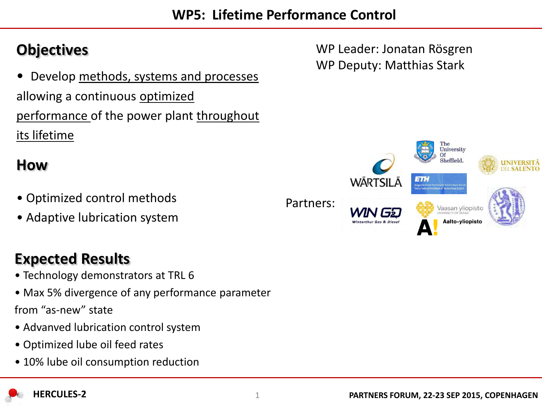**WP5: Lifetime Performance Control** 

• Develop methods, systems and processes allowing a continuous optimized performance of the power plant throughout its lifetime

### **How**

- Optimized control methods
- Adaptive lubrication system

## **Expected Results**

- Technology demonstrators at TRL 6
- Max 5% divergence of any performance parameter from "as-new" state
- Advanved lubrication control system
- Optimized lube oil feed rates
- 10% lube oil consumption reduction



**Objectives WP Leader: Jonatan Rösgren** WP Deputy: Matthias Stark

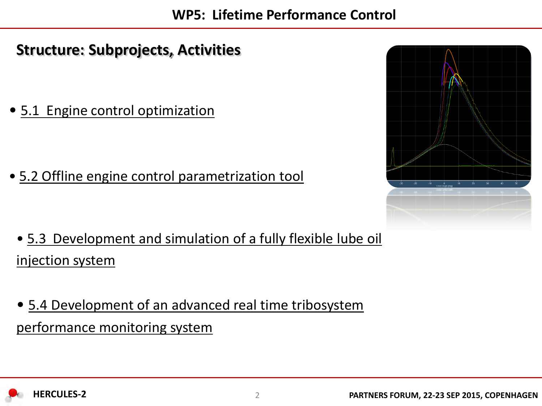## **Structure: Subprojects, Activities**

• 5.1 Engine control optimization

• 5.2 Offline engine control parametrization tool

- 5.3 Development and simulation of a fully flexible lube oil injection system
- 5.4 Development of an advanced real time tribosystem performance monitoring system



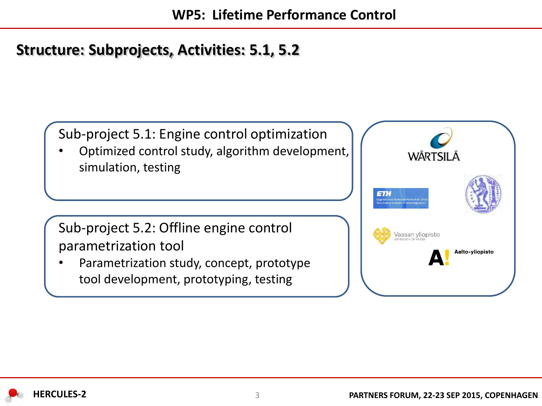### **Structure: Subprojects, Activities: 5.1, 5.2**

Sub-project 5.1: Engine control optimization

• Optimized control study, algorithm development, simulation, testing

Sub-project 5.2: Offline engine control parametrization tool

Parametrization study, concept, prototype tool development, prototyping, testing



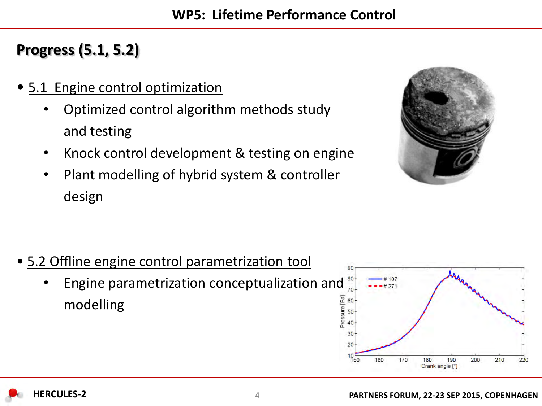# **Progress (5.1, 5.2)**

- 5.1 Engine control optimization
	- Optimized control algorithm methods study and testing
	- Knock control development & testing on engine
	- Plant modelling of hybrid system & controller design



- 5.2 Offline engine control parametrization tool
	- Engine parametrization conceptualization and modelling

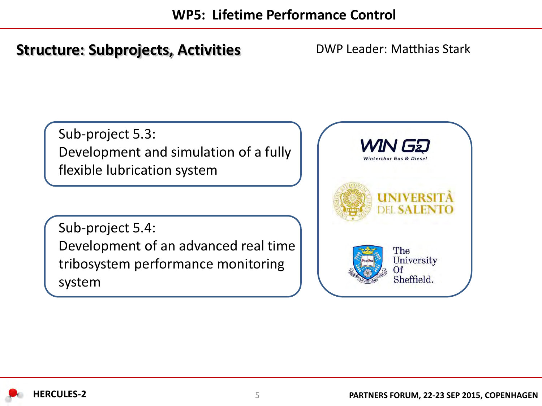### **Structure: Subprojects, Activities**

DWP Leader: Matthias Stark

Sub-project 5.3: Development and simulation of a fully flexible lubrication system

Sub-project 5.4: Development of an advanced real time tribosystem performance monitoring system

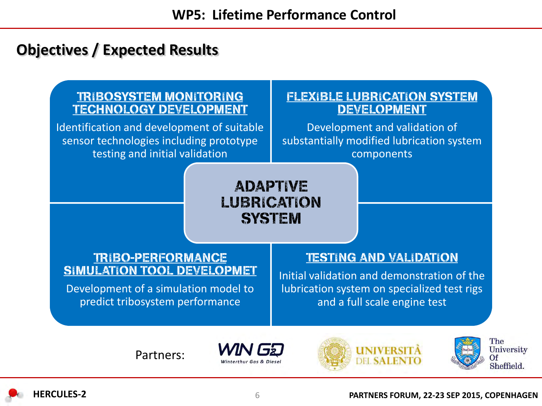### **Objectives / Expected Results**

### **TRIBOSYSTEM MONITORING TECHNOLOGY DEVELOPMENT**

Identification and development of suitable sensor technologies including prototype testing and initial validation

#### **FLEXIBLE LUBRICATION SYSTEM DEVELOPMENT**

Development and validation of substantially modified lubrication system components

**ADAPTIVE** LUBRICATION **SYSTEM** 

#### **TRIBO-PERFORMANCE SIMULATION TOOL DEVELOPMET**

Development of a simulation model to predict tribosystem performance

#### **TESTING AND VALIDATION**

Initial validation and demonstration of the lubrication system on specialized test rigs and a full scale engine test

Partners:







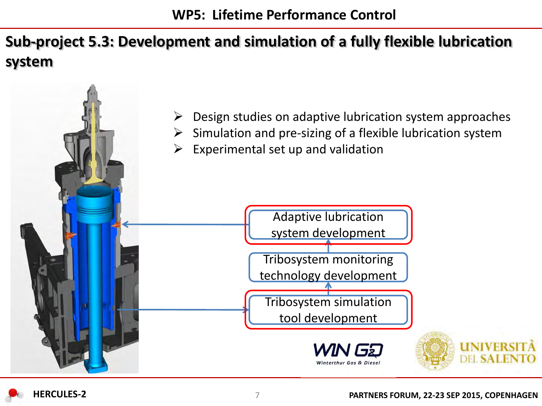# **Sub-project 5.3: Development and simulation of a fully flexible lubrication system**

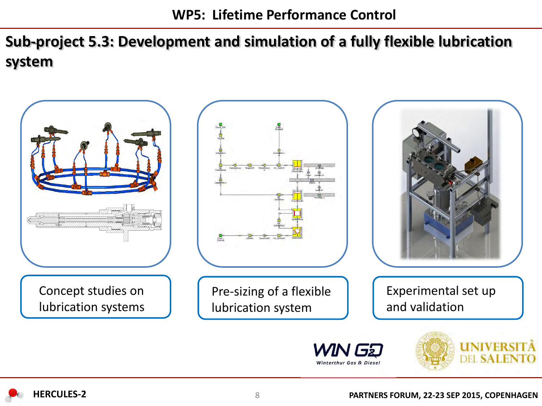**Sub-project 5.3: Development and simulation of a fully flexible lubrication system**

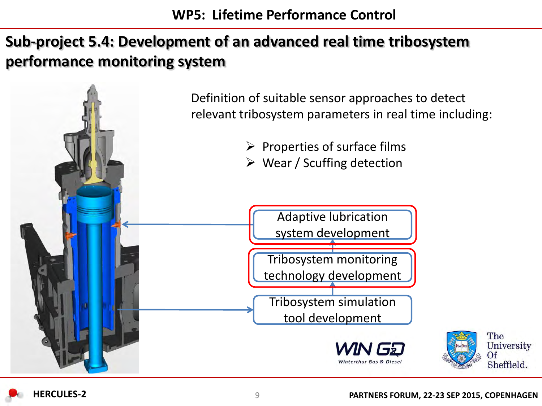# **Sub-project 5.4: Development of an advanced real time tribosystem performance monitoring system**



The

Of

University

Sheffield.